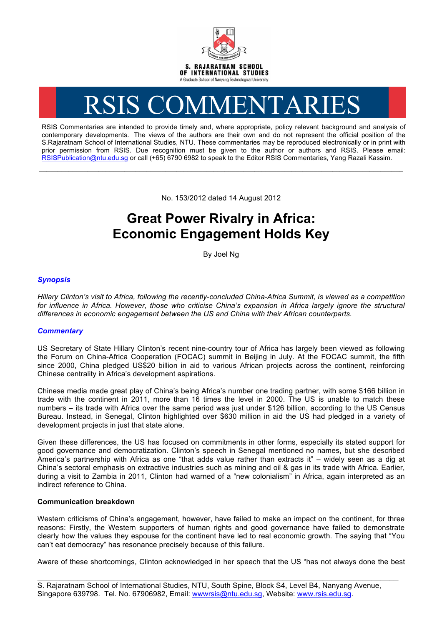

# RSIS COMMENTARIES

RSIS Commentaries are intended to provide timely and, where appropriate, policy relevant background and analysis of contemporary developments. The views of the authors are their own and do not represent the official position of the S.Rajaratnam School of International Studies, NTU. These commentaries may be reproduced electronically or in print with prior permission from RSIS. Due recognition must be given to the author or authors and RSIS. Please email: RSISPublication@ntu.edu.sg or call (+65) 6790 6982 to speak to the Editor RSIS Commentaries, Yang Razali Kassim.

No. 153/2012 dated 14 August 2012

**\_\_\_\_\_\_\_\_\_\_\_\_\_\_\_\_\_\_\_\_\_\_\_\_\_\_\_\_\_\_\_\_\_\_\_\_\_\_\_\_\_\_\_\_\_\_\_\_\_\_\_\_\_\_\_\_\_\_\_\_\_\_\_\_\_\_\_\_\_\_\_\_\_\_\_\_\_\_\_\_\_\_\_\_\_\_\_\_\_\_\_\_\_\_\_\_\_\_**

# **Great Power Rivalry in Africa: Economic Engagement Holds Key**

By Joel Ng

# *Synopsis*

*Hillary Clinton's visit to Africa, following the recently-concluded China-Africa Summit, is viewed as a competition*  for influence in Africa. However, those who criticise China's expansion in Africa largely ignore the structural *differences in economic engagement between the US and China with their African counterparts.*

## *Commentary*

US Secretary of State Hillary Clinton's recent nine-country tour of Africa has largely been viewed as following the Forum on China-Africa Cooperation (FOCAC) summit in Beijing in July. At the FOCAC summit, the fifth since 2000, China pledged US\$20 billion in aid to various African projects across the continent, reinforcing Chinese centrality in Africa's development aspirations.

Chinese media made great play of China's being Africa's number one trading partner, with some \$166 billion in trade with the continent in 2011, more than 16 times the level in 2000. The US is unable to match these numbers – its trade with Africa over the same period was just under \$126 billion, according to the US Census Bureau. Instead, in Senegal, Clinton highlighted over \$630 million in aid the US had pledged in a variety of development projects in just that state alone.

Given these differences, the US has focused on commitments in other forms, especially its stated support for good governance and democratization. Clinton's speech in Senegal mentioned no names, but she described America's partnership with Africa as one "that adds value rather than extracts it" – widely seen as a dig at China's sectoral emphasis on extractive industries such as mining and oil & gas in its trade with Africa. Earlier, during a visit to Zambia in 2011, Clinton had warned of a "new colonialism" in Africa, again interpreted as an indirect reference to China.

### **Communication breakdown**

Western criticisms of China's engagement, however, have failed to make an impact on the continent, for three reasons: Firstly, the Western supporters of human rights and good governance have failed to demonstrate clearly how the values they espouse for the continent have led to real economic growth. The saying that "You can't eat democracy" has resonance precisely because of this failure.

Aware of these shortcomings, Clinton acknowledged in her speech that the US "has not always done the best